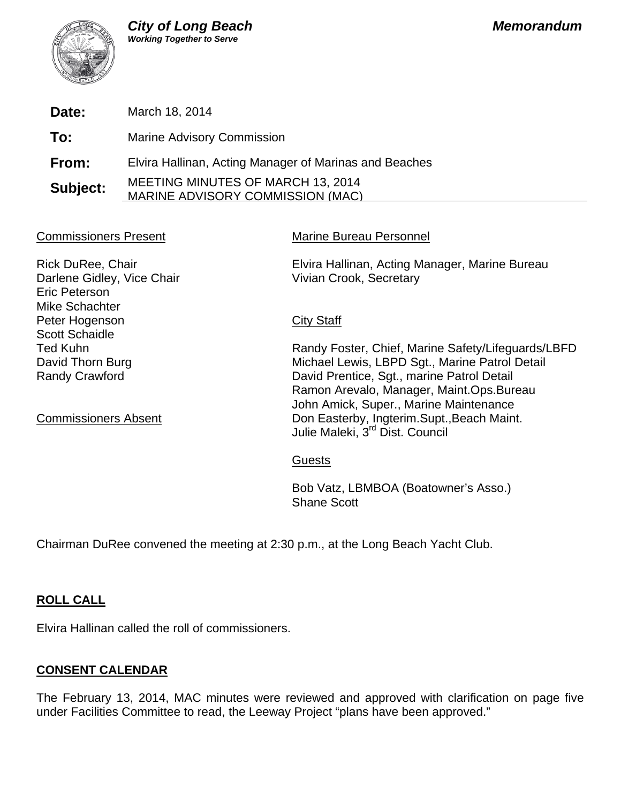

**Date:** March 18, 2014

**To:** Marine Advisory Commission

**From:** Elvira Hallinan, Acting Manager of Marinas and Beaches

**Subject:** MEETING MINUTES OF MARCH 13, 2014 MARINE ADVISORY COMMISSION (MAC)

# Commissioners Present Marine Bureau Personnel

Darlene Gidley, Vice Chair Vivian Crook, Secretary Eric Peterson Mike Schachter Peter Hogenson City Staff Scott Schaidle

Rick DuRee, Chair Elvira Hallinan, Acting Manager, Marine Bureau

Ted Kuhn **Randy Foster, Chief, Marine Safety/Lifeguards/LBFD** David Thorn Burg **Michael Lewis, LBPD Sgt., Marine Patrol Detail** Randy Crawford **David Prentice, Sgt., marine Patrol Detail**  Ramon Arevalo, Manager, Maint.Ops.Bureau John Amick, Super., Marine Maintenance Commissioners Absent **Don Easterby, Ingterim.Supt., Beach Maint.** Julie Maleki, 3<sup>rd</sup> Dist. Council

# Guests

 Bob Vatz, LBMBOA (Boatowner's Asso.) Shane Scott

Chairman DuRee convened the meeting at 2:30 p.m., at the Long Beach Yacht Club.

# **ROLL CALL**

Elvira Hallinan called the roll of commissioners.

# **CONSENT CALENDAR**

The February 13, 2014, MAC minutes were reviewed and approved with clarification on page five under Facilities Committee to read, the Leeway Project "plans have been approved."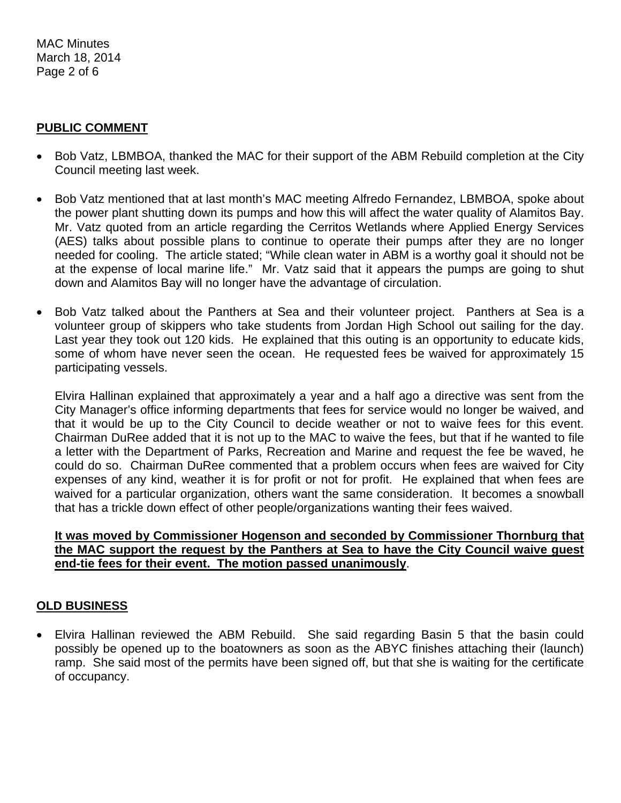MAC Minutes March 18, 2014 Page 2 of 6

# **PUBLIC COMMENT**

- Bob Vatz, LBMBOA, thanked the MAC for their support of the ABM Rebuild completion at the City Council meeting last week.
- Bob Vatz mentioned that at last month's MAC meeting Alfredo Fernandez, LBMBOA, spoke about the power plant shutting down its pumps and how this will affect the water quality of Alamitos Bay. Mr. Vatz quoted from an article regarding the Cerritos Wetlands where Applied Energy Services (AES) talks about possible plans to continue to operate their pumps after they are no longer needed for cooling. The article stated; "While clean water in ABM is a worthy goal it should not be at the expense of local marine life." Mr. Vatz said that it appears the pumps are going to shut down and Alamitos Bay will no longer have the advantage of circulation.
- Bob Vatz talked about the Panthers at Sea and their volunteer project. Panthers at Sea is a volunteer group of skippers who take students from Jordan High School out sailing for the day. Last year they took out 120 kids. He explained that this outing is an opportunity to educate kids, some of whom have never seen the ocean. He requested fees be waived for approximately 15 participating vessels.

Elvira Hallinan explained that approximately a year and a half ago a directive was sent from the City Manager's office informing departments that fees for service would no longer be waived, and that it would be up to the City Council to decide weather or not to waive fees for this event. Chairman DuRee added that it is not up to the MAC to waive the fees, but that if he wanted to file a letter with the Department of Parks, Recreation and Marine and request the fee be waved, he could do so. Chairman DuRee commented that a problem occurs when fees are waived for City expenses of any kind, weather it is for profit or not for profit. He explained that when fees are waived for a particular organization, others want the same consideration. It becomes a snowball that has a trickle down effect of other people/organizations wanting their fees waived.

# **It was moved by Commissioner Hogenson and seconded by Commissioner Thornburg that the MAC support the request by the Panthers at Sea to have the City Council waive guest end-tie fees for their event. The motion passed unanimously**.

# **OLD BUSINESS**

 Elvira Hallinan reviewed the ABM Rebuild. She said regarding Basin 5 that the basin could possibly be opened up to the boatowners as soon as the ABYC finishes attaching their (launch) ramp. She said most of the permits have been signed off, but that she is waiting for the certificate of occupancy.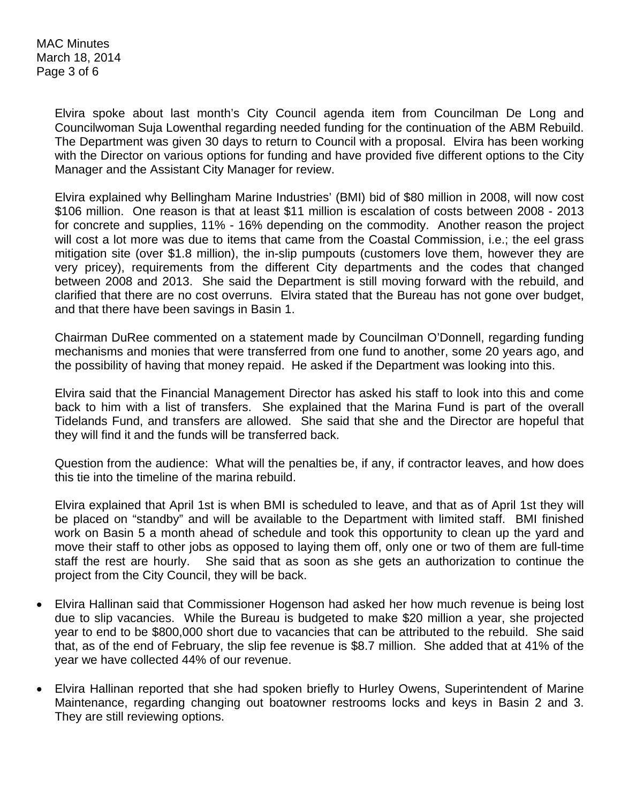MAC Minutes March 18, 2014 Page 3 of 6

> Elvira spoke about last month's City Council agenda item from Councilman De Long and Councilwoman Suja Lowenthal regarding needed funding for the continuation of the ABM Rebuild. The Department was given 30 days to return to Council with a proposal. Elvira has been working with the Director on various options for funding and have provided five different options to the City Manager and the Assistant City Manager for review.

> Elvira explained why Bellingham Marine Industries' (BMI) bid of \$80 million in 2008, will now cost \$106 million. One reason is that at least \$11 million is escalation of costs between 2008 - 2013 for concrete and supplies, 11% - 16% depending on the commodity. Another reason the project will cost a lot more was due to items that came from the Coastal Commission, i.e.; the eel grass mitigation site (over \$1.8 million), the in-slip pumpouts (customers love them, however they are very pricey), requirements from the different City departments and the codes that changed between 2008 and 2013. She said the Department is still moving forward with the rebuild, and clarified that there are no cost overruns. Elvira stated that the Bureau has not gone over budget, and that there have been savings in Basin 1.

> Chairman DuRee commented on a statement made by Councilman O'Donnell, regarding funding mechanisms and monies that were transferred from one fund to another, some 20 years ago, and the possibility of having that money repaid. He asked if the Department was looking into this.

> Elvira said that the Financial Management Director has asked his staff to look into this and come back to him with a list of transfers. She explained that the Marina Fund is part of the overall Tidelands Fund, and transfers are allowed. She said that she and the Director are hopeful that they will find it and the funds will be transferred back.

> Question from the audience: What will the penalties be, if any, if contractor leaves, and how does this tie into the timeline of the marina rebuild.

> Elvira explained that April 1st is when BMI is scheduled to leave, and that as of April 1st they will be placed on "standby" and will be available to the Department with limited staff. BMI finished work on Basin 5 a month ahead of schedule and took this opportunity to clean up the yard and move their staff to other jobs as opposed to laying them off, only one or two of them are full-time staff the rest are hourly. She said that as soon as she gets an authorization to continue the project from the City Council, they will be back.

- Elvira Hallinan said that Commissioner Hogenson had asked her how much revenue is being lost due to slip vacancies. While the Bureau is budgeted to make \$20 million a year, she projected year to end to be \$800,000 short due to vacancies that can be attributed to the rebuild. She said that, as of the end of February, the slip fee revenue is \$8.7 million. She added that at 41% of the year we have collected 44% of our revenue.
- Elvira Hallinan reported that she had spoken briefly to Hurley Owens, Superintendent of Marine Maintenance, regarding changing out boatowner restrooms locks and keys in Basin 2 and 3. They are still reviewing options.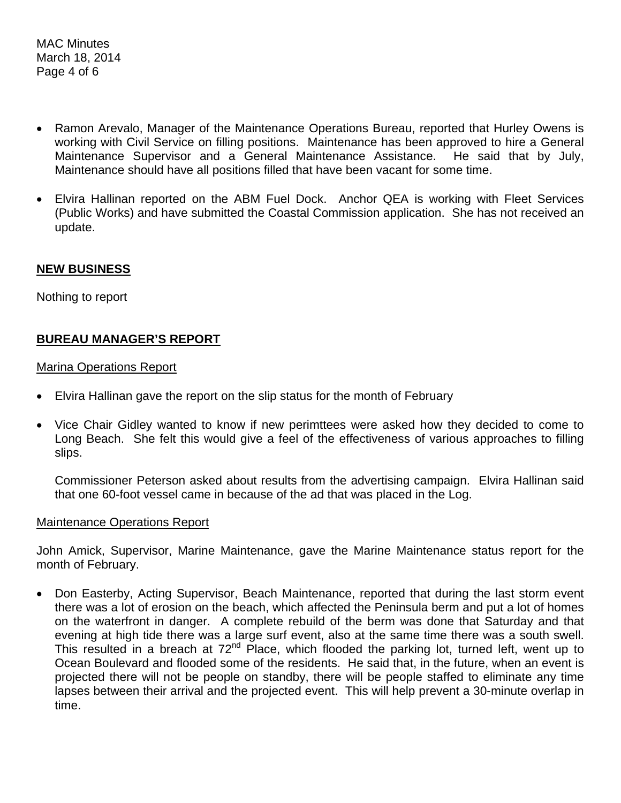MAC Minutes March 18, 2014 Page 4 of 6

- Ramon Arevalo, Manager of the Maintenance Operations Bureau, reported that Hurley Owens is working with Civil Service on filling positions. Maintenance has been approved to hire a General Maintenance Supervisor and a General Maintenance Assistance. He said that by July, Maintenance should have all positions filled that have been vacant for some time.
- Elvira Hallinan reported on the ABM Fuel Dock. Anchor QEA is working with Fleet Services (Public Works) and have submitted the Coastal Commission application. She has not received an update.

#### **NEW BUSINESS**

Nothing to report

# **BUREAU MANAGER'S REPORT**

#### Marina Operations Report

- Elvira Hallinan gave the report on the slip status for the month of February
- Vice Chair Gidley wanted to know if new perimttees were asked how they decided to come to Long Beach. She felt this would give a feel of the effectiveness of various approaches to filling slips.

Commissioner Peterson asked about results from the advertising campaign. Elvira Hallinan said that one 60-foot vessel came in because of the ad that was placed in the Log.

#### Maintenance Operations Report

John Amick, Supervisor, Marine Maintenance, gave the Marine Maintenance status report for the month of February.

• Don Easterby, Acting Supervisor, Beach Maintenance, reported that during the last storm event there was a lot of erosion on the beach, which affected the Peninsula berm and put a lot of homes on the waterfront in danger. A complete rebuild of the berm was done that Saturday and that evening at high tide there was a large surf event, also at the same time there was a south swell. This resulted in a breach at 72<sup>nd</sup> Place, which flooded the parking lot, turned left, went up to Ocean Boulevard and flooded some of the residents. He said that, in the future, when an event is projected there will not be people on standby, there will be people staffed to eliminate any time lapses between their arrival and the projected event. This will help prevent a 30-minute overlap in time.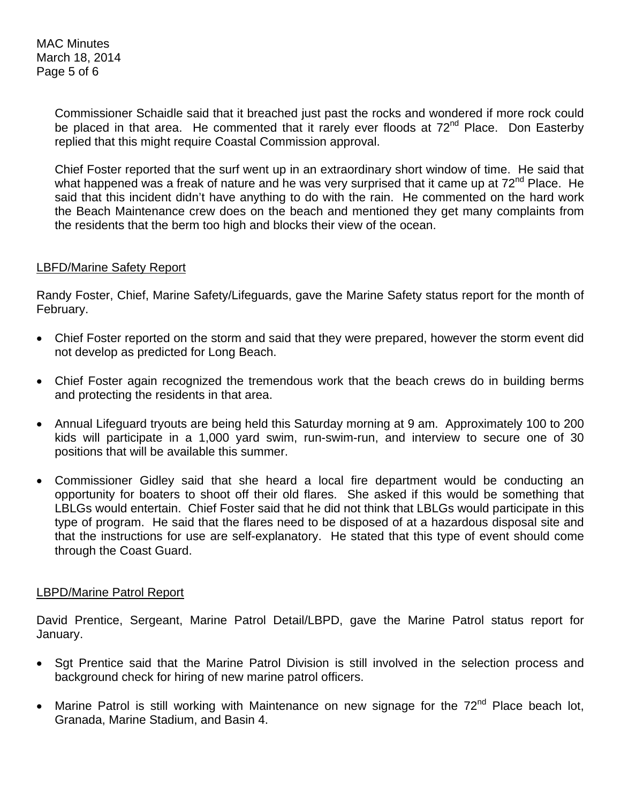Commissioner Schaidle said that it breached just past the rocks and wondered if more rock could be placed in that area. He commented that it rarely ever floods at 72<sup>nd</sup> Place. Don Easterby replied that this might require Coastal Commission approval.

Chief Foster reported that the surf went up in an extraordinary short window of time. He said that what happened was a freak of nature and he was very surprised that it came up at 72<sup>nd</sup> Place. He said that this incident didn't have anything to do with the rain. He commented on the hard work the Beach Maintenance crew does on the beach and mentioned they get many complaints from the residents that the berm too high and blocks their view of the ocean.

# LBFD/Marine Safety Report

Randy Foster, Chief, Marine Safety/Lifeguards, gave the Marine Safety status report for the month of February.

- Chief Foster reported on the storm and said that they were prepared, however the storm event did not develop as predicted for Long Beach.
- Chief Foster again recognized the tremendous work that the beach crews do in building berms and protecting the residents in that area.
- Annual Lifeguard tryouts are being held this Saturday morning at 9 am. Approximately 100 to 200 kids will participate in a 1,000 yard swim, run-swim-run, and interview to secure one of 30 positions that will be available this summer.
- Commissioner Gidley said that she heard a local fire department would be conducting an opportunity for boaters to shoot off their old flares. She asked if this would be something that LBLGs would entertain. Chief Foster said that he did not think that LBLGs would participate in this type of program. He said that the flares need to be disposed of at a hazardous disposal site and that the instructions for use are self-explanatory. He stated that this type of event should come through the Coast Guard.

# LBPD/Marine Patrol Report

David Prentice, Sergeant, Marine Patrol Detail/LBPD, gave the Marine Patrol status report for January.

- Sgt Prentice said that the Marine Patrol Division is still involved in the selection process and background check for hiring of new marine patrol officers.
- Marine Patrol is still working with Maintenance on new signage for the  $72<sup>nd</sup>$  Place beach lot, Granada, Marine Stadium, and Basin 4.